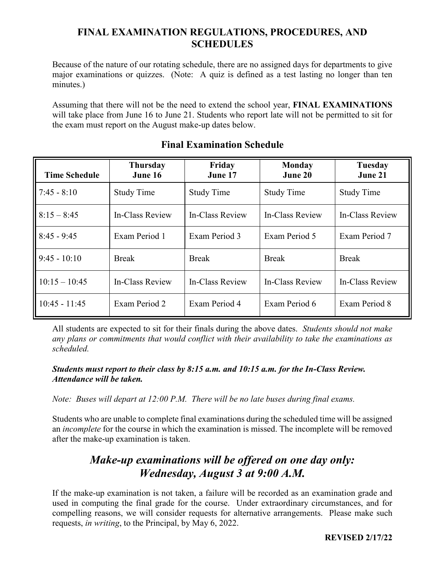## **FINAL EXAMINATION REGULATIONS, PROCEDURES, AND SCHEDULES**

Because of the nature of our rotating schedule, there are no assigned days for departments to give major examinations or quizzes. (Note: A quiz is defined as a test lasting no longer than ten minutes.)

Assuming that there will not be the need to extend the school year, **FINAL EXAMINATIONS** will take place from June 16 to June 21. Students who report late will not be permitted to sit for the exam must report on the August make-up dates below.

| <b>Time Schedule</b> | <b>Thursday</b><br>June 16 | Friday<br>June 17      | <b>Monday</b><br>June 20 | Tuesday<br>June 21 |
|----------------------|----------------------------|------------------------|--------------------------|--------------------|
| $7:45 - 8:10$        | <b>Study Time</b>          | <b>Study Time</b>      | <b>Study Time</b>        | <b>Study Time</b>  |
| $8:15 - 8:45$        | In-Class Review            | In-Class Review        | In-Class Review          | In-Class Review    |
| $8:45 - 9:45$        | Exam Period 1              | Exam Period 3          | Exam Period 5            | Exam Period 7      |
| $9:45 - 10:10$       | <b>Break</b>               | <b>Break</b>           | <b>Break</b>             | <b>Break</b>       |
| $10:15 - 10:45$      | <b>In-Class Review</b>     | <b>In-Class Review</b> | In-Class Review          | In-Class Review    |
| $10:45 - 11:45$      | Exam Period 2              | Exam Period 4          | Exam Period 6            | Exam Period 8      |

## **Final Examination Schedule**

All students are expected to sit for their finals during the above dates. *Students should not make any plans or commitments that would conflict with their availability to take the examinations as scheduled.*

## *Students must report to their class by 8:15 a.m. and 10:15 a.m. for the In-Class Review. Attendance will be taken.*

*Note: Buses will depart at 12:00 P.M. There will be no late buses during final exams.*

Students who are unable to complete final examinations during the scheduled time will be assigned an *incomplete* for the course in which the examination is missed. The incomplete will be removed after the make-up examination is taken.

# *Make-up examinations will be offered on one day only: Wednesday, August 3 at 9:00 A.M.*

If the make-up examination is not taken, a failure will be recorded as an examination grade and used in computing the final grade for the course. Under extraordinary circumstances, and for compelling reasons, we will consider requests for alternative arrangements. Please make such requests, *in writing*, to the Principal, by May 6, 2022.